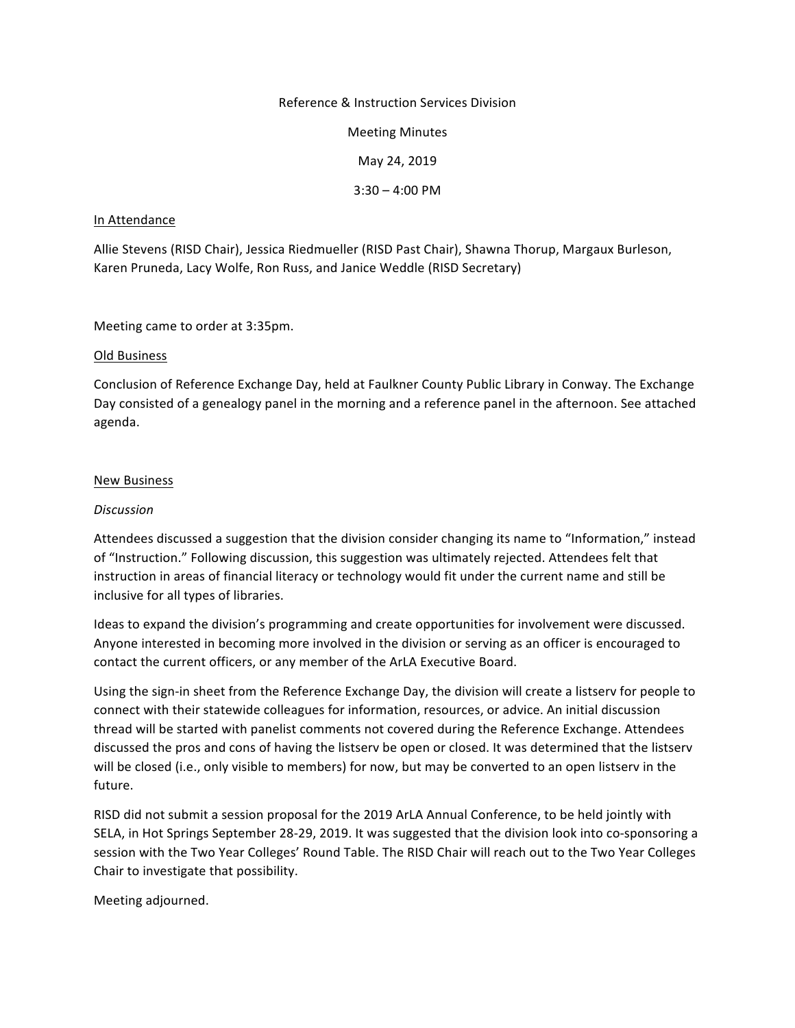#### Reference & Instruction Services Division

Meeting Minutes

May 24, 2019

 $3:30 - 4:00$  PM

#### In Attendance

Allie Stevens (RISD Chair), Jessica Riedmueller (RISD Past Chair), Shawna Thorup, Margaux Burleson, Karen Pruneda, Lacy Wolfe, Ron Russ, and Janice Weddle (RISD Secretary)

Meeting came to order at 3:35pm.

#### Old Business

Conclusion of Reference Exchange Day, held at Faulkner County Public Library in Conway. The Exchange Day consisted of a genealogy panel in the morning and a reference panel in the afternoon. See attached agenda. 

#### New Business

#### *Discussion*

Attendees discussed a suggestion that the division consider changing its name to "Information," instead of "Instruction." Following discussion, this suggestion was ultimately rejected. Attendees felt that instruction in areas of financial literacy or technology would fit under the current name and still be inclusive for all types of libraries.

Ideas to expand the division's programming and create opportunities for involvement were discussed. Anyone interested in becoming more involved in the division or serving as an officer is encouraged to contact the current officers, or any member of the ArLA Executive Board.

Using the sign-in sheet from the Reference Exchange Day, the division will create a listserv for people to connect with their statewide colleagues for information, resources, or advice. An initial discussion thread will be started with panelist comments not covered during the Reference Exchange. Attendees discussed the pros and cons of having the listserv be open or closed. It was determined that the listserv will be closed (i.e., only visible to members) for now, but may be converted to an open listserv in the future. 

RISD did not submit a session proposal for the 2019 ArLA Annual Conference, to be held jointly with SELA, in Hot Springs September 28-29, 2019. It was suggested that the division look into co-sponsoring a session with the Two Year Colleges' Round Table. The RISD Chair will reach out to the Two Year Colleges Chair to investigate that possibility.

Meeting adjourned.